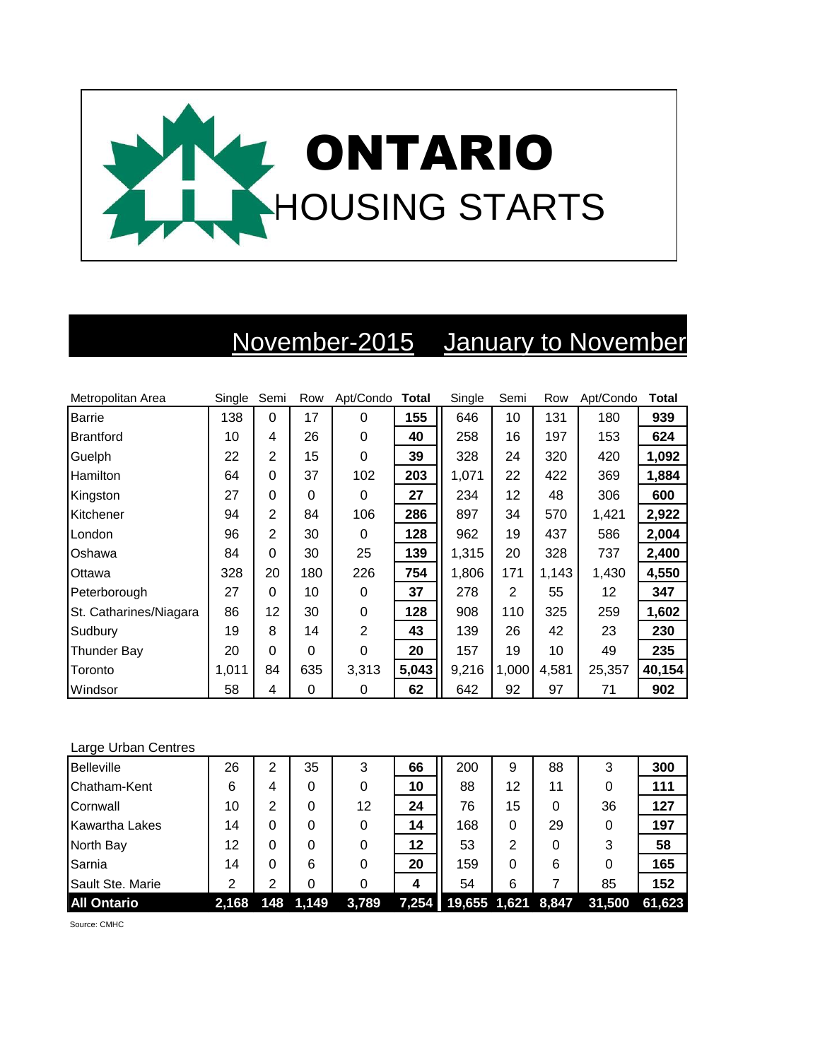

## November-2015 January to November

| Metropolitan Area      | Single | Semi           | Row      | Apt/Condo Total |       | Single | Semi           | Row   | Apt/Condo | <b>Total</b> |
|------------------------|--------|----------------|----------|-----------------|-------|--------|----------------|-------|-----------|--------------|
| <b>Barrie</b>          | 138    | $\Omega$       | 17       | 0               | 155   | 646    | 10             | 131   | 180       | 939          |
| <b>Brantford</b>       | 10     | 4              | 26       | 0               | 40    | 258    | 16             | 197   | 153       | 624          |
| Guelph                 | 22     | 2              | 15       | $\Omega$        | 39    | 328    | 24             | 320   | 420       | 1,092        |
| Hamilton               | 64     | $\Omega$       | 37       | 102             | 203   | 1,071  | 22             | 422   | 369       | 1,884        |
| Kingston               | 27     | $\Omega$       | 0        | 0               | 27    | 234    | 12             | 48    | 306       | 600          |
| Kitchener              | 94     | 2              | 84       | 106             | 286   | 897    | 34             | 570   | 1,421     | 2,922        |
| London                 | 96     | $\overline{2}$ | 30       | 0               | 128   | 962    | 19             | 437   | 586       | 2,004        |
| Oshawa                 | 84     | $\Omega$       | 30       | 25              | 139   | 1,315  | 20             | 328   | 737       | 2,400        |
| Ottawa                 | 328    | 20             | 180      | 226             | 754   | 1,806  | 171            | 1,143 | 1,430     | 4,550        |
| Peterborough           | 27     | $\Omega$       | 10       | 0               | 37    | 278    | $\overline{2}$ | 55    | 12        | 347          |
| St. Catharines/Niagara | 86     | 12             | 30       | 0               | 128   | 908    | 110            | 325   | 259       | 1,602        |
| Sudbury                | 19     | 8              | 14       | $\overline{2}$  | 43    | 139    | 26             | 42    | 23        | 230          |
| Thunder Bay            | 20     | $\Omega$       | $\Omega$ | 0               | 20    | 157    | 19             | 10    | 49        | 235          |
| Toronto                | 1,011  | 84             | 635      | 3,313           | 5,043 | 9,216  | 1,000          | 4,581 | 25,357    | 40,154       |
| Windsor                | 58     | 4              | 0        | 0               | 62    | 642    | 92             | 97    | 71        | 902          |

## Large Urban Centres

| <b>Belleville</b>     | 26    | 2   | 35    | 3     | 66 | 200                      | 9  | 88 | 3      | 300    |
|-----------------------|-------|-----|-------|-------|----|--------------------------|----|----|--------|--------|
| Chatham-Kent          | 6     | 4   | 0     | 0     | 10 | 88                       | 12 | 11 |        | 111    |
| Cornwall              | 10    | 2   | 0     | 12    | 24 | 76                       | 15 |    | 36     | 127    |
| <b>Kawartha Lakes</b> | 14    | 0   | 0     | 0     | 14 | 168                      | 0  | 29 | 0      | 197    |
| North Bay             | 12    | 0   | 0     |       | 12 | 53                       | 2  |    | 3      | 58     |
| Sarnia                | 14    | 0   | 6     | 0     | 20 | 159                      | 0  | 6  |        | 165    |
| Sault Ste. Marie      | 2     | 2   | 0     |       | 4  | 54                       | 6  |    | 85     | 152    |
| <b>All Ontario</b>    | 2,168 | 148 | 1,149 | 3,789 |    | 7,254 19,655 1,621 8,847 |    |    | 31,500 | 61,623 |

Source: CMHC